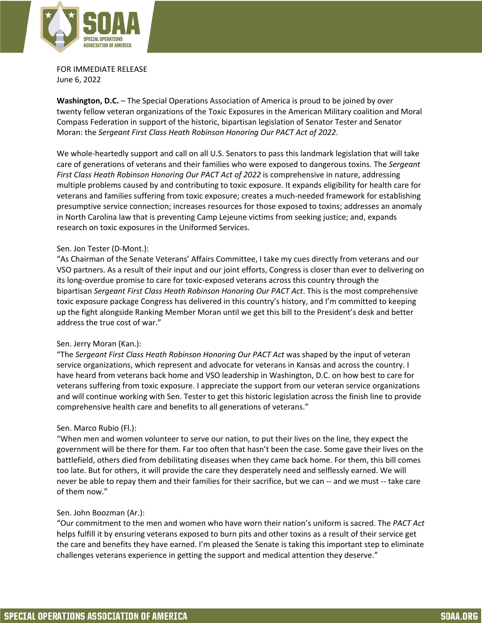

FOR IMMEDIATE RELEASE June 6, 2022

**Washington, D.C.** – The Special Operations Association of America is proud to be joined by over twenty fellow veteran organizations of the Toxic Exposures in the American Military coalition and Moral Compass Federation in support of the historic, bipartisan legislation of Senator Tester and Senator Moran: the *Sergeant First Class Heath Robinson Honoring Our PACT Act of 2022*.

We whole-heartedly support and call on all U.S. Senators to pass this landmark legislation that will take care of generations of veterans and their families who were exposed to dangerous toxins. The *Sergeant First Class Heath Robinson Honoring Our PACT Act of 2022* is comprehensive in nature, addressing multiple problems caused by and contributing to toxic exposure. It expands eligibility for health care for veterans and families suffering from toxic exposure; creates a much-needed framework for establishing presumptive service connection; increases resources for those exposed to toxins; addresses an anomaly in North Carolina law that is preventing Camp Lejeune victims from seeking justice; and, expands research on toxic exposures in the Uniformed Services.

## Sen. Jon Tester (D-Mont.):

"As Chairman of the Senate Veterans' Affairs Committee, I take my cues directly from veterans and our VSO partners. As a result of their input and our joint efforts, Congress is closer than ever to delivering on its long-overdue promise to care for toxic-exposed veterans across this country through the bipartisan *Sergeant First Class Heath Robinson Honoring Our PACT Act*. This is the most comprehensive toxic exposure package Congress has delivered in this country's history, and I'm committed to keeping up the fight alongside Ranking Member Moran until we get this bill to the President's desk and better address the true cost of war."

## Sen. Jerry Moran (Kan.):

"The *Sergeant First Class Heath Robinson Honoring Our PACT Act* was shaped by the input of veteran service organizations, which represent and advocate for veterans in Kansas and across the country. I have heard from veterans back home and VSO leadership in Washington, D.C. on how best to care for veterans suffering from toxic exposure. I appreciate the support from our veteran service organizations and will continue working with Sen. Tester to get this historic legislation across the finish line to provide comprehensive health care and benefits to all generations of veterans."

## Sen. Marco Rubio (Fl.):

"When men and women volunteer to serve our nation, to put their lives on the line, they expect the government will be there for them. Far too often that hasn't been the case. Some gave their lives on the battlefield, others died from debilitating diseases when they came back home. For them, this bill comes too late. But for others, it will provide the care they desperately need and selflessly earned. We will never be able to repay them and their families for their sacrifice, but we can -- and we must -- take care of them now."

## Sen. John Boozman (Ar.):

"Our commitment to the men and women who have worn their nation's uniform is sacred. The *PACT Act* helps fulfill it by ensuring veterans exposed to burn pits and other toxins as a result of their service get the care and benefits they have earned. I'm pleased the Senate is taking this important step to eliminate challenges veterans experience in getting the support and medical attention they deserve."